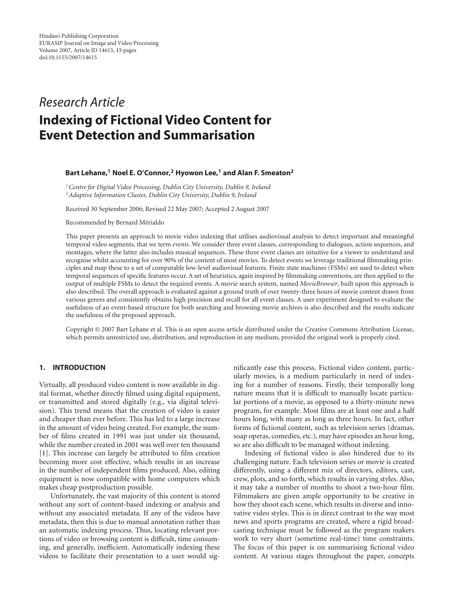# *Research Article* **Indexing of Fictional Video Content for Event Detection and Summarisation**

## **Bart Lehane,1 Noel E. O'Connor,2 Hyowon Lee,1 and Alan F. Smeaton2**

*1Centre for Digital Video Processing, Dublin City University, Dublin 9, Ireland 2Adaptive Information Cluster, Dublin City University, Dublin 9, Ireland*

Received 30 September 2006; Revised 22 May 2007; Accepted 2 August 2007

Recommended by Bernard Mérialdo

This paper presents an approach to movie video indexing that utilises audiovisual analysis to detect important and meaningful temporal video segments, that we term *events*. We consider three event classes, corresponding to dialogues, action sequences, and montages, where the latter also includes musical sequences. These three event classes are intuitive for a viewer to understand and recognise whilst accounting for over 90% of the content of most movies. To detect events we leverage traditional filmmaking principles and map these to a set of computable low-level audiovisual features. Finite state machines (FSMs) are used to detect when temporal sequences of specific features occur. A set of heuristics, again inspired by filmmaking conventions, are then applied to the output of multiple FSMs to detect the required events. A movie search system, named *MovieBrowser*, built upon this approach is also described. The overall approach is evaluated against a ground truth of over twenty-three hours of movie content drawn from various genres and consistently obtains high precision and recall for all event classes. A user experiment designed to evaluate the usefulness of an event-based structure for both searching and browsing movie archives is also described and the results indicate the usefulness of the proposed approach.

Copyright © 2007 Bart Lehane et al. This is an open access article distributed under the Creative Commons Attribution License, which permits unrestricted use, distribution, and reproduction in any medium, provided the original work is properly cited.

# **1. INTRODUCTION**

Virtually, all produced video content is now available in digital format, whether directly filmed using digital equipment, or transmitted and stored digitally (e.g., via digital television). This trend means that the creation of video is easier and cheaper than ever before. This has led to a large increase in the amount of video being created. For example, the number of films created in 1991 was just under six thousand, while the number created in 2001 was well over ten thousand [\[1\]](#page-14-1). This increase can largely be attributed to film creation becoming more cost effective, which results in an increase in the number of independent films produced. Also, editing equipment is now compatible with home computers which makes cheap postproduction possible.

Unfortunately, the vast majority of this content is stored without any sort of content-based indexing or analysis and without any associated metadata. If any of the videos have metadata, then this is due to manual annotation rather than an automatic indexing process. Thus, locating relevant portions of video or browsing content is difficult, time consuming, and generally, inefficient. Automatically indexing these videos to facilitate their presentation to a user would significantly ease this process. Fictional video content, particularly movies, is a medium particularly in need of indexing for a number of reasons. Firstly, their temporally long nature means that it is difficult to manually locate particular portions of a movie, as opposed to a thirty-minute news program, for example. Most films are at least one and a half hours long, with many as long as three hours. In fact, other forms of fictional content, such as television series (dramas, soap operas, comedies, etc.), may have episodes an hour long, so are also difficult to be managed without indexing.

Indexing of fictional video is also hindered due to its challenging nature. Each television series or movie is created differently, using a different mix of directors, editors, cast, crew, plots, and so forth, which results in varying styles. Also, it may take a number of months to shoot a two-hour film. Filmmakers are given ample opportunity to be creative in how they shoot each scene, which results in diverse and innovative video styles. This is in direct contrast to the way most news and sports programs are created, where a rigid broadcasting technique must be followed as the program makers work to very short (sometime real-time) time constraints. The focus of this paper is on summarising fictional video content. At various stages throughout the paper, concepts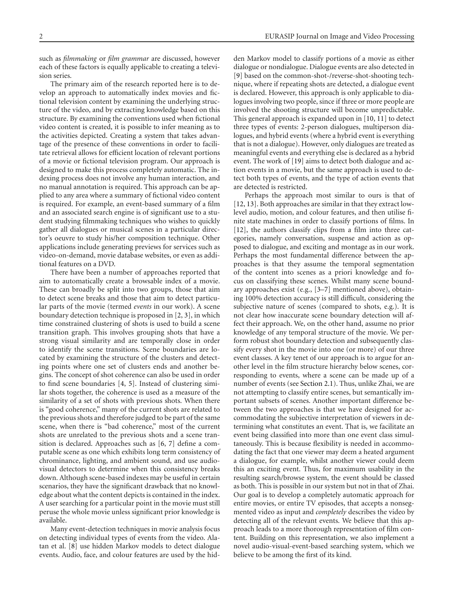such as *filmmaking* or *film grammar* are discussed, however each of these factors is equally applicable to creating a television series.

The primary aim of the research reported here is to develop an approach to automatically index movies and fictional television content by examining the underlying structure of the video, and by extracting knowledge based on this structure. By examining the conventions used when fictional video content is created, it is possible to infer meaning as to the activities depicted. Creating a system that takes advantage of the presence of these conventions in order to facilitate retrieval allows for efficient location of relevant portions of a movie or fictional television program. Our approach is designed to make this process completely automatic. The indexing process does not involve any human interaction, and no manual annotation is required. This approach can be applied to any area where a summary of fictional video content is required. For example, an event-based summary of a film and an associated search engine is of significant use to a student studying filmmaking techniques who wishes to quickly gather all dialogues or musical scenes in a particular director's oeuvre to study his/her composition technique. Other applications include generating previews for services such as video-on-demand, movie database websites, or even as additional features on a DVD.

There have been a number of approaches reported that aim to automatically create a browsable index of a movie. These can broadly be split into two groups, those that aim to detect scene breaks and those that aim to detect particular parts of the movie (termed *events* in our work). A scene boundary detection technique is proposed in [\[2](#page-14-2), [3\]](#page-14-3), in which time constrained clustering of shots is used to build a scene transition graph. This involves grouping shots that have a strong visual similarity and are temporally close in order to identify the scene transitions. Scene boundaries are located by examining the structure of the clusters and detecting points where one set of clusters ends and another begins. The concept of shot coherence can also be used in order to find scene boundaries [\[4,](#page-14-4) [5](#page-14-5)]. Instead of clustering similar shots together, the coherence is used as a measure of the similarity of a set of shots with previous shots. When there is "good coherence," many of the current shots are related to the previous shots and therefore judged to be part of the same scene, when there is "bad coherence," most of the current shots are unrelated to the previous shots and a scene transition is declared. Approaches such as [\[6](#page-14-6), [7\]](#page-14-7) define a computable scene as one which exhibits long term consistency of chrominance, lighting, and ambient sound, and use audiovisual detectors to determine when this consistency breaks down. Although scene-based indexes may be useful in certain scenarios, they have the significant drawback that no knowledge about what the content depicts is contained in the index. A user searching for a particular point in the movie must still peruse the whole movie unless significant prior knowledge is available.

Many event-detection techniques in movie analysis focus on detecting individual types of events from the video. Alatan et al. [\[8](#page-14-8)] use hidden Markov models to detect dialogue events. Audio, face, and colour features are used by the hidden Markov model to classify portions of a movie as either dialogue or nondialogue. Dialogue events are also detected in [\[9\]](#page-14-9) based on the common-shot-/reverse-shot-shooting technique, where if repeating shots are detected, a dialogue event is declared. However, this approach is only applicable to dialogues involving two people, since if three or more people are involved the shooting structure will become unpredictable. This general approach is expanded upon in [\[10](#page-14-10), [11](#page-14-11)] to detect three types of events: 2-person dialogues, multiperson dialogues, and hybrid events (where a hybrid event is everything that is not a dialogue). However, only dialogues are treated as meaningful events and everything else is declared as a hybrid event. The work of [\[19](#page-14-12)] aims to detect both dialogue and action events in a movie, but the same approach is used to detect both types of events, and the type of action events that are detected is restricted.

Perhaps the approach most similar to ours is that of [\[12](#page-14-13), [13](#page-14-14)]. Both approaches are similar in that they extract lowlevel audio, motion, and colour features, and then utilise finite state machines in order to classify portions of films. In [\[12](#page-14-13)], the authors classify clips from a film into three categories, namely conversation, suspense and action as opposed to dialogue, and exciting and montage as in our work. Perhaps the most fundamental difference between the approaches is that they assume the temporal segmentation of the content into scenes as a priori knowledge and focus on classifying these scenes. Whilst many scene boundary approaches exist (e.g., [\[3](#page-14-3)[–7\]](#page-14-7) mentioned above), obtaining 100% detection accuracy is still difficult, considering the subjective nature of scenes (compared to shots, e.g.). It is not clear how inaccurate scene boundary detection will affect their approach. We, on the other hand, assume no prior knowledge of any temporal structure of the movie. We perform robust shot boundary detection and subsequently classify every shot in the movie into one (or more) of our three event classes. A key tenet of our approach is to argue for another level in the film structure hierarchy below scenes, corresponding to events, where a scene can be made up of a number of events (see [Section 2.1\)](#page-2-0). Thus, unlike Zhai, we are not attempting to classify entire scenes, but semantically important subsets of scenes. Another important difference between the two approaches is that we have designed for accommodating the subjective interpretation of viewers in determining what constitutes an event. That is, we facilitate an event being classified into more than one event class simultaneously. This is because flexibility is needed in accommodating the fact that one viewer may deem a heated argument a dialogue, for example, whilst another viewer could deem this an exciting event. Thus, for maximum usability in the resulting search/browse system, the event should be classed as both. This is possible in our system but not in that of Zhai. Our goal is to develop a completely automatic approach for entire movies, or entire TV episodes, that accepts a nonsegmented video as input and *completely* describes the video by detecting all of the relevant events. We believe that this approach leads to a more thorough representation of film content. Building on this representation, we also implement a novel audio-visual-event-based searching system, which we believe to be among the first of its kind.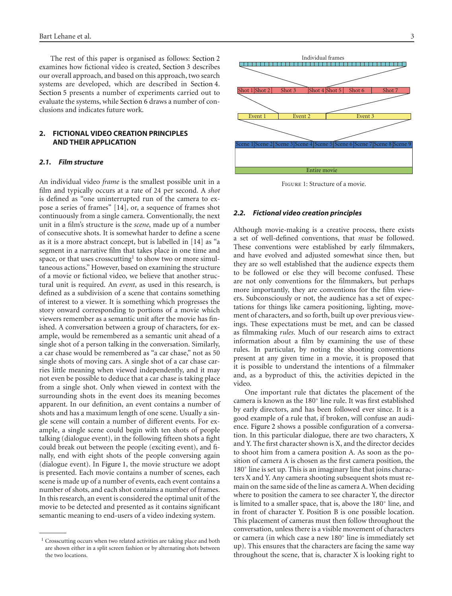The rest of this paper is organised as follows: [Section 2](#page-2-1) examines how fictional video is created, [Section 3](#page-4-0) describes our overall approach, and based on this approach, two search systems are developed, which are described in [Section 4.](#page-6-0) [Section 5](#page-9-0) presents a number of experiments carried out to evaluate the systems, while [Section 6](#page-13-0) draws a number of conclusions and indicates future work.

# <span id="page-2-1"></span>**2. FICTIONAL VIDEO CREATION PRINCIPLES AND THEIR APPLICATION**

## <span id="page-2-0"></span>*2.1. Film structure*

An individual video *frame* is the smallest possible unit in a film and typically occurs at a rate of 24 per second. A *shot* is defined as "one uninterrupted run of the camera to expose a series of frames" [\[14](#page-14-15)], or, a sequence of frames shot continuously from a single camera. Conventionally, the next unit in a film's structure is the *scene*, made up of a number of consecutive shots. It is somewhat harder to define a scene as it is a more abstract concept, but is labelled in [\[14](#page-14-15)] as "a segment in a narrative film that takes place in one time and space, or that uses crosscutting<sup>1</sup> to show two or more simultaneous actions." However, based on examining the structure of a movie or fictional video, we believe that another structural unit is required. An *event*, as used in this research, is defined as a subdivision of a scene that contains something of interest to a viewer. It is something which progresses the story onward corresponding to portions of a movie which viewers remember as a semantic unit after the movie has finished. A conversation between a group of characters, for example, would be remembered as a semantic unit ahead of a single shot of a person talking in the conversation. Similarly, a car chase would be remembered as "a car chase," not as 50 single shots of moving cars. A single shot of a car chase carries little meaning when viewed independently, and it may not even be possible to deduce that a car chase is taking place from a single shot. Only when viewed in context with the surrounding shots in the event does its meaning becomes apparent. In our definition, an event contains a number of shots and has a maximum length of one scene. Usually a single scene will contain a number of different events. For example, a single scene could begin with ten shots of people talking (dialogue event), in the following fifteen shots a fight could break out between the people (exciting event), and finally, end with eight shots of the people conversing again (dialogue event). In [Figure 1,](#page-2-2) the movie structure we adopt is presented. Each movie contains a number of scenes, each scene is made up of a number of events, each event contains a number of shots, and each shot contains a number of frames. In this research, an event is considered the optimal unit of the movie to be detected and presented as it contains significant semantic meaning to end-users of a video indexing system.



<span id="page-2-2"></span>Figure 1: Structure of a movie.

## *2.2. Fictional video creation principles*

Although movie-making is a creative process, there exists a set of well-defined conventions, that *must* be followed. These conventions were established by early filmmakers, and have evolved and adjusted somewhat since then, but they are so well established that the audience expects them to be followed or else they will become confused. These are not only conventions for the filmmakers, but perhaps more importantly, they are conventions for the film viewers. Subconsciously or not, the audience has a set of expectations for things like camera positioning, lighting, movement of characters, and so forth, built up over previous viewings. These expectations must be met, and can be classed as filmmaking *rules*. Much of our research aims to extract information about a film by examining the use of these rules. In particular, by noting the shooting conventions present at any given time in a movie, it is proposed that it is possible to understand the intentions of a filmmaker and, as a byproduct of this, the activities depicted in the video.

One important rule that dictates the placement of the camera is known as the 180◦ line rule. It was first established by early directors, and has been followed ever since. It is a good example of a rule that, if broken, will confuse an audience. [Figure 2](#page-3-0) shows a possible configuration of a conversation. In this particular dialogue, there are two characters, X and Y. The first character shown is X, and the director decides to shoot him from a camera position A. As soon as the position of camera A is chosen as the first camera position, the 180 $^{\circ}$  line is set up. This is an imaginary line that joins characters X and Y. Any camera shooting subsequent shots must remain on the same side of the line as camera A. When deciding where to position the camera to see character Y, the director is limited to a smaller space, that is, above the 180◦ line, and in front of character Y. Position B is one possible location. This placement of cameras must then follow throughout the conversation, unless there is a visible movement of characters or camera (in which case a new 180◦ line is immediately set up). This ensures that the characters are facing the same way throughout the scene, that is, character X is looking right to

<sup>&</sup>lt;sup>1</sup> Crosscutting occurs when two related activities are taking place and both are shown either in a split screen fashion or by alternating shots between the two locations.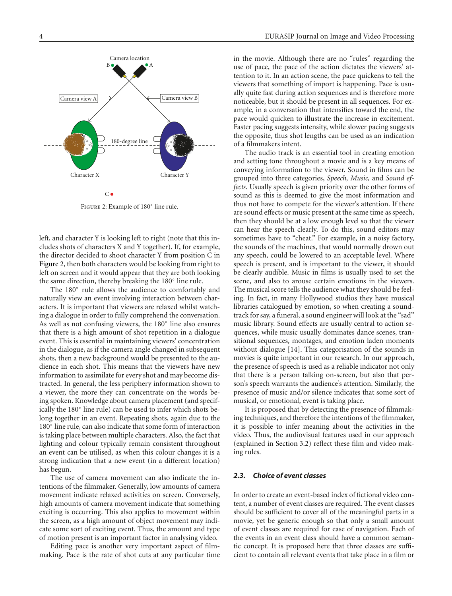

<span id="page-3-0"></span>Figure 2: Example of 180◦ line rule.

left, and character Y is looking left to right (note that this includes shots of characters X and Y together). If, for example, the director decided to shoot character Y from position C in [Figure 2,](#page-3-0) then both characters would be looking from right to left on screen and it would appear that they are both looking the same direction, thereby breaking the 180◦ line rule.

The 180◦ rule allows the audience to comfortably and naturally view an event involving interaction between characters. It is important that viewers are relaxed whilst watching a dialogue in order to fully comprehend the conversation. As well as not confusing viewers, the 180◦ line also ensures that there is a high amount of shot repetition in a dialogue event. This is essential in maintaining viewers' concentration in the dialogue, as if the camera angle changed in subsequent shots, then a new background would be presented to the audience in each shot. This means that the viewers have new information to assimilate for every shot and may become distracted. In general, the less periphery information shown to a viewer, the more they can concentrate on the words being spoken. Knowledge about camera placement (and specifically the 180◦ line rule) can be used to infer which shots belong together in an event. Repeating shots, again due to the 180◦ line rule, can also indicate that some form of interaction is taking place between multiple characters. Also, the fact that lighting and colour typically remain consistent throughout an event can be utilised, as when this colour changes it is a strong indication that a new event (in a different location) has begun.

The use of camera movement can also indicate the intentions of the filmmaker. Generally, low amounts of camera movement indicate relaxed activities on screen. Conversely, high amounts of camera movement indicate that something exciting is occurring. This also applies to movement within the screen, as a high amount of object movement may indicate some sort of exciting event. Thus, the amount and type of motion present is an important factor in analysing video.

Editing pace is another very important aspect of filmmaking. Pace is the rate of shot cuts at any particular time in the movie. Although there are no "rules" regarding the use of pace, the pace of the action dictates the viewers' attention to it. In an action scene, the pace quickens to tell the viewers that something of import is happening. Pace is usually quite fast during action sequences and is therefore more noticeable, but it should be present in all sequences. For example, in a conversation that intensifies toward the end, the pace would quicken to illustrate the increase in excitement. Faster pacing suggests intensity, while slower pacing suggests the opposite, thus shot lengths can be used as an indication of a filmmakers intent.

The audio track is an essential tool in creating emotion and setting tone throughout a movie and is a key means of conveying information to the viewer. Sound in films can be grouped into three categories, *Speech, Music,* and *Sound effects*. Usually speech is given priority over the other forms of sound as this is deemed to give the most information and thus not have to compete for the viewer's attention. If there are sound effects or music present at the same time as speech, then they should be at a low enough level so that the viewer can hear the speech clearly. To do this, sound editors may sometimes have to "cheat." For example, in a noisy factory, the sounds of the machines, that would normally drown out any speech, could be lowered to an acceptable level. Where speech is present, and is important to the viewer, it should be clearly audible. Music in films is usually used to set the scene, and also to arouse certain emotions in the viewers. The musical score tells the audience what they should be feeling. In fact, in many Hollywood studios they have musical libraries catalogued by emotion, so when creating a soundtrack for say, a funeral, a sound engineer will look at the "sad" music library. Sound effects are usually central to action sequences, while music usually dominates dance scenes, transitional sequences, montages, and emotion laden moments without dialogue [\[14](#page-14-15)]. This categorisation of the sounds in movies is quite important in our research. In our approach, the presence of speech is used as a reliable indicator not only that there is a person talking on-screen, but also that person's speech warrants the audience's attention. Similarly, the presence of music and/or silence indicates that some sort of musical, or emotional, event is taking place.

It is proposed that by detecting the presence of filmmaking techniques, and therefore the intentions of the filmmaker, it is possible to infer meaning about the activities in the video. Thus, the audiovisual features used in our approach (explained in [Section 3.2\)](#page-4-1) reflect these film and video making rules.

# <span id="page-3-1"></span>*2.3. Choice of event classes*

In order to create an event-based index of fictional video content, a number of event classes are required. The event classes should be sufficient to cover all of the meaningful parts in a movie, yet be generic enough so that only a small amount of event classes are required for ease of navigation. Each of the events in an event class should have a common semantic concept. It is proposed here that three classes are sufficient to contain all relevant events that take place in a film or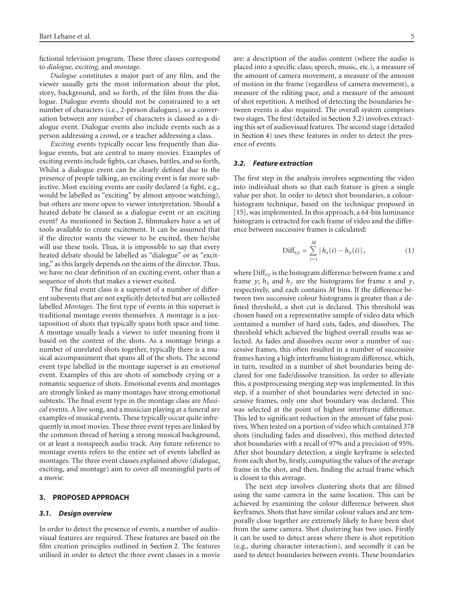fictional television program. These three classes correspond to *dialogue, exciting,* and *montage*.

*Dialogue* constitutes a major part of any film, and the viewer usually gets the most information about the plot, story, background, and so forth, of the film from the dialogue. Dialogue events should not be constrained to a set number of characters (i.e., 2-person dialogues), so a conversation between any number of characters is classed as a dialogue event. Dialogue events also include events such as a person addressing a crowd, or a teacher addressing a class.

*Exciting* events typically occur less frequently than dialogue events, but are central to many movies. Examples of exciting events include fights, car chases, battles, and so forth, Whilst a dialogue event can be clearly defined due to the presence of people talking, an exciting event is far more subjective. Most exciting events are easily declared (a fight, e.g., would be labelled as "exciting" by almost anyone watching), but others are more open to viewer interpretation. Should a heated debate be classed as a dialogue event or an exciting event? As mentioned in [Section 2,](#page-2-1) filmmakers have a set of tools available to create excitement. It can be assumed that if the director wants the viewer to be excited, then he/she will use these tools. Thus, it is impossible to say that every heated debate should be labelled as "dialogue" or as "exciting," as this largely depends on the aims of the director. Thus, we have no clear definition of an exciting event, other than a sequence of shots that makes a viewer excited.

The final event class is a superset of a number of different subevents that are not explicitly detected but are collected labelled *Montages*. The first type of events in this superset is traditional montage events themselves. A montage is a juxtaposition of shots that typically spans both space and time. A montage usually leads a viewer to infer meaning from it based on the context of the shots. As a montage brings a number of unrelated shots together, typically there is a musical accompaniment that spans all of the shots. The second event type labelled in the montage superset is an *emotional* event. Examples of this are shots of somebody crying or a romantic sequence of shots. Emotional events and montages are strongly linked as many montages have strong emotional subtexts. The final event type in the montage class are *Musical* events. A live song, and a musician playing at a funeral are examples of musical events. These typically occur quite infrequently in most movies. These three event types are linked by the common thread of having a strong musical background, or at least a nonspeech audio track. Any future reference to montage events refers to the entire set of events labelled as montages. The three event classes explained above (dialogue, exciting, and montage) aim to cover all meaningful parts of a movie.

#### <span id="page-4-0"></span>**3. PROPOSED APPROACH**

#### *3.1. Design overview*

In order to detect the presence of events, a number of audiovisual features are required. These features are based on the film creation principles outlined in [Section 2.](#page-2-1) The features utilised in order to detect the three event classes in a movie

are: a description of the audio content (where the audio is placed into a specific class; speech, music, etc.), a measure of the amount of camera movement, a measure of the amount of motion in the frame (regardless of camera movement), a measure of the editing pace, and a measure of the amount of shot repetition. A method of detecting the boundaries between events is also required. The overall system comprises two stages. The first (detailed in [Section 3.2\)](#page-4-1) involves extracting this set of audiovisual features. The second stage (detailed in [Section 4\)](#page-6-0) uses these features in order to detect the presence of events.

# <span id="page-4-1"></span>*3.2. Feature extraction*

The first step in the analysis involves segmenting the video into individual shots so that each feature is given a single value per shot. In order to detect shot boundaries, a colourhistogram technique, based on the technique proposed in [\[15](#page-14-16)], was implemented. In this approach, a 64-bin luminance histogram is extracted for each frame of video and the difference between successive frames is calculated:

$$
\text{Diff}_{xy} = \sum_{i=1}^{M} |h_x(i) - h_y(i)|, \qquad (1)
$$

where Diff*xy* is the histogram difference between frame *x* and frame *y*;  $h_x$  and  $h_y$  are the histograms for frame *x* and *y*, respectively, and each contains *M* bins. If the difference between two successive colour histograms is greater than a defined threshold, a shot cut is declared. This threshold was chosen based on a representative sample of video data which contained a number of hard cuts, fades, and dissolves. The threshold which achieved the highest overall results was selected. As fades and dissolves occur over a number of successive frames, this often resulted in a number of successive frames having a high interframe histogram difference, which, in turn, resulted in a number of shot boundaries being declared for one fade/dissolve transition. In order to alleviate this, a postprocessing merging step was implemented. In this step, if a number of shot boundaries were detected in successive frames, only one shot boundary was declared. This was selected at the point of highest interframe difference. This led to significant reduction in the amount of false positives. When tested on a portion of video which contained 378 shots (including fades and dissolves), this method detected shot boundaries with a recall of 97% and a precision of 95%. After shot boundary detection, a single keyframe is selected from each shot by, firstly, computing the values of the average frame in the shot, and then, finding the actual frame which is closest to this average.

The next step involves clustering shots that are filmed using the same camera in the same location. This can be achieved by examining the colour difference between shot keyframes. Shots that have similar colour values and are temporally close together are extremely likely to have been shot from the same camera. Shot clustering has two uses. Firstly it can be used to detect areas where there is shot repetition (e.g., during character interaction), and secondly it can be used to detect boundaries between events. These boundaries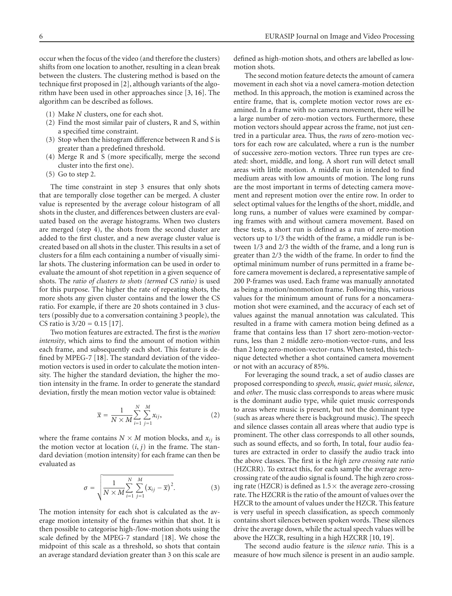occur when the focus of the video (and therefore the clusters) shifts from one location to another, resulting in a clean break between the clusters. The clustering method is based on the technique first proposed in [\[2](#page-14-2)], although variants of the algorithm have been used in other approaches since [\[3,](#page-14-3) [16](#page-14-17)]. The algorithm can be described as follows.

- (1) Make *N* clusters, one for each shot.
- (2) Find the most similar pair of clusters, R and S, within a specified time constraint.
- (3) Stop when the histogram difference between R and S is greater than a predefined threshold.
- (4) Merge R and S (more specifically, merge the second cluster into the first one).
- (5) Go to step 2.

The time constraint in step 3 ensures that only shots that are temporally close together can be merged. A cluster value is represented by the average colour histogram of all shots in the cluster, and differences between clusters are evaluated based on the average histograms. When two clusters are merged (step 4), the shots from the second cluster are added to the first cluster, and a new average cluster value is created based on all shots in the cluster. This results in a set of clusters for a film each containing a number of visually similar shots. The clustering information can be used in order to evaluate the amount of shot repetition in a given sequence of shots. The *ratio of clusters to shots (termed CS ratio)* is used for this purpose. The higher the rate of repeating shots, the more shots any given cluster contains and the lower the CS ratio. For example, if there are 20 shots contained in 3 clusters (possibly due to a conversation containing 3 people), the CS ratio is 3*/*20 = 0*.*15 [\[17\]](#page-14-18).

Two motion features are extracted. The first is the *motion intensity*, which aims to find the amount of motion within each frame, and subsequently each shot. This feature is defined by MPEG-7 [\[18\]](#page-14-19). The standard deviation of the videomotion vectors is used in order to calculate the motion intensity. The higher the standard deviation, the higher the motion intensity in the frame. In order to generate the standard deviation, firstly the mean motion vector value is obtained:

$$
\bar{x} = \frac{1}{N \times M} \sum_{i=1}^{N} \sum_{j=1}^{M} x_{ij},
$$
 (2)

where the frame contains  $N \times M$  motion blocks, and  $x_{ij}$  is the motion vector at location  $(i, j)$  in the frame. The standard deviation (motion intensity) for each frame can then be evaluated as

$$
\sigma = \sqrt{\frac{1}{N \times M} \sum_{i=1}^{N} \sum_{j=1}^{M} (x_{ij} - \bar{x})^{2}}.
$$
 (3)

The motion intensity for each shot is calculated as the average motion intensity of the frames within that shot. It is then possible to categorise high-/low-motion shots using the scale defined by the MPEG-7 standard [\[18\]](#page-14-19). We chose the midpoint of this scale as a threshold, so shots that contain an average standard deviation greater than 3 on this scale are

defined as high-motion shots, and others are labelled as lowmotion shots.

The second motion feature detects the amount of camera movement in each shot via a novel camera-motion detection method. In this approach, the motion is examined across the entire frame, that is, complete motion vector rows are examined. In a frame with no camera movement, there will be a large number of zero-motion vectors. Furthermore, these motion vectors should appear across the frame, not just centred in a particular area. Thus, the *runs* of zero-motion vectors for each row are calculated, where a run is the number of successive zero-motion vectors. Three run types are created: short, middle, and long. A short run will detect small areas with little motion. A middle run is intended to find medium areas with low amounts of motion. The long runs are the most important in terms of detecting camera movement and represent motion over the entire row. In order to select optimal values for the lengths of the short, middle, and long runs, a number of values were examined by comparing frames with and without camera movement. Based on these tests, a short run is defined as a run of zero-motion vectors up to 1*/*3 the width of the frame, a middle run is between 1*/*3 and 2*/*3 the width of the frame, and a long run is greater than 2*/*3 the width of the frame. In order to find the optimal minimum number of runs permitted in a frame before camera movement is declared, a representative sample of 200 P-frames was used. Each frame was manually annotated as being a motion/nonmotion frame. Following this, various values for the minimum amount of runs for a noncameramotion shot were examined, and the accuracy of each set of values against the manual annotation was calculated. This resulted in a frame with camera motion being defined as a frame that contains less than 17 short zero-motion-vectorruns, less than 2 middle zero-motion-vector-runs, and less than 2 long zero-motion-vector-runs. When tested, this technique detected whether a shot contained camera movement or not with an accuracy of 85%.

For leveraging the sound track, a set of audio classes are proposed corresponding to *speech, music, quiet music, silence*, and *other*. The music class corresponds to areas where music is the dominant audio type, while quiet music corresponds to areas where music is present, but not the dominant type (such as areas where there is background music). The speech and silence classes contain all areas where that audio type is prominent. The other class corresponds to all other sounds, such as sound effects, and so forth, In total, four audio features are extracted in order to classify the audio track into the above classes. The first is the *high zero crossing rate ratio* (HZCRR). To extract this, for each sample the average zerocrossing rate of the audio signal is found. The high zero crossing rate (HZCR) is defined as  $1.5 \times$  the average zero-crossing rate. The HZCRR is the ratio of the amount of values over the HZCR to the amount of values under the HZCR. This feature is very useful in speech classification, as speech commonly contains short silences between spoken words. These silences drive the average down, while the actual speech values will be above the HZCR, resulting in a high HZCRR [\[10,](#page-14-10) [19\]](#page-14-12).

The second audio feature is the *silence ratio*. This is a measure of how much silence is present in an audio sample.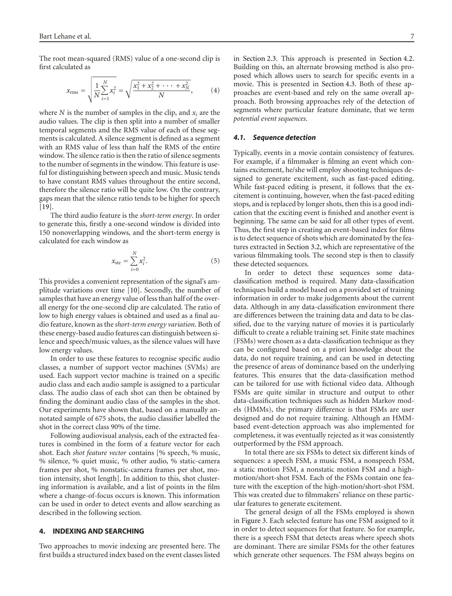The root mean-squared (RMS) value of a one-second clip is first calculated as

$$
x_{\text{rms}} = \sqrt{\frac{1}{N} \sum_{i=1}^{N} x_i^2} = \sqrt{\frac{x_1^2 + x_2^2 + \dots + x_N^2}{N}},
$$
 (4)

where *N* is the number of samples in the clip, and *xi* are the audio values. The clip is then split into a number of smaller temporal segments and the RMS value of each of these segments is calculated. A silence segment is defined as a segment with an RMS value of less than half the RMS of the entire window. The silence ratio is then the ratio of silence segments to the number of segments in the window. This feature is useful for distinguishing between speech and music. Music tends to have constant RMS values throughout the entire second, therefore the silence ratio will be quite low. On the contrary, gaps mean that the silence ratio tends to be higher for speech [\[19](#page-14-12)].

The third audio feature is the *short-term energy*. In order to generate this, firstly a one-second window is divided into 150 nonoverlapping windows, and the short-term energy is calculated for each window as

$$
x_{\rm ste} = \sum_{i=0}^{N} x_i^2. \tag{5}
$$

This provides a convenient representation of the signal's amplitude variations over time [\[10](#page-14-10)]. Secondly, the number of samples that have an energy value of less than half of the overall energy for the one-second clip are calculated. The ratio of low to high energy values is obtained and used as a final audio feature, known as the *short-term energy variation*. Both of these energy-based audio features can distinguish between silence and speech/music values, as the silence values will have low energy values.

In order to use these features to recognise specific audio classes, a number of support vector machines (SVMs) are used. Each support vector machine is trained on a specific audio class and each audio sample is assigned to a particular class. The audio class of each shot can then be obtained by finding the dominant audio class of the samples in the shot. Our experiments have shown that, based on a manually annotated sample of 675 shots, the audio classifier labelled the shot in the correct class 90% of the time.

Following audiovisual analysis, each of the extracted features is combined in the form of a feature vector for each shot. Each *shot feature vector* contains [% speech, % music, % silence, % quiet music, % other audio, % static-camera frames per shot, % nonstatic-camera frames per shot, motion intensity, shot length]. In addition to this, shot clustering information is available, and a list of points in the film where a change-of-focus occurs is known. This information can be used in order to detect events and allow searching as described in the following section.

# <span id="page-6-0"></span>**4. INDEXING AND SEARCHING**

Two approaches to movie indexing are presented here. The first builds a structured index based on the event classes listed

in [Section 2.3.](#page-3-1) This approach is presented in [Section 4.2.](#page-8-0) Building on this, an alternate browsing method is also proposed which allows users to search for specific events in a movie. This is presented in [Section 4.3.](#page-9-1) Both of these approaches are event-based and rely on the same overall approach. Both browsing approaches rely of the detection of segments where particular feature dominate, that we term *potential event sequences*.

## *4.1. Sequence detection*

Typically, events in a movie contain consistency of features. For example, if a filmmaker is filming an event which contains excitement, he/she will employ shooting techniques designed to generate excitement, such as fast-paced editing. While fast-paced editing is present, it follows that the excitement is continuing, however, when the fast-paced editing stops, and is replaced by longer shots, then this is a good indication that the exciting event is finished and another event is beginning. The same can be said for all other types of event. Thus, the first step in creating an event-based index for films is to detect sequence of shots which are dominated by the features extracted in [Section 3.2,](#page-4-1) which are representative of the various filmmaking tools. The second step is then to classify these detected sequences.

In order to detect these sequences some dataclassification method is required. Many data-classification techniques build a model based on a provided set of training information in order to make judgements about the current data. Although in any data-classification environment there are differences between the training data and data to be classified, due to the varying nature of movies it is particularly difficult to create a reliable training set. Finite state machines (FSMs) were chosen as a data-classification technique as they can be configured based on a priori knowledge about the data, do not require training, and can be used in detecting the presence of areas of dominance based on the underlying features. This ensures that the data-classification method can be tailored for use with fictional video data. Although FSMs are quite similar in structure and output to other data-classification techniques such as hidden Markov models (HMMs), the primary difference is that FSMs are user designed and do not require training. Although an HMMbased event-detection approach was also implemented for completeness, it was eventually rejected as it was consistently outperformed by the FSM approach.

In total there are six FSMs to detect six different kinds of sequences: a speech FSM, a music FSM, a nonspeech FSM, a static motion FSM, a nonstatic motion FSM and a highmotion/short-shot FSM. Each of the FSMs contain one feature with the exception of the high-motion/short-shot FSM. This was created due to filmmakers' reliance on these particular features to generate excitement.

The general design of all the FSMs employed is shown in [Figure 3.](#page-7-0) Each selected feature has one FSM assigned to it in order to detect sequences for that feature. So for example, there is a speech FSM that detects areas where speech shots are dominant. There are similar FSMs for the other features which generate other sequences. The FSM always begins on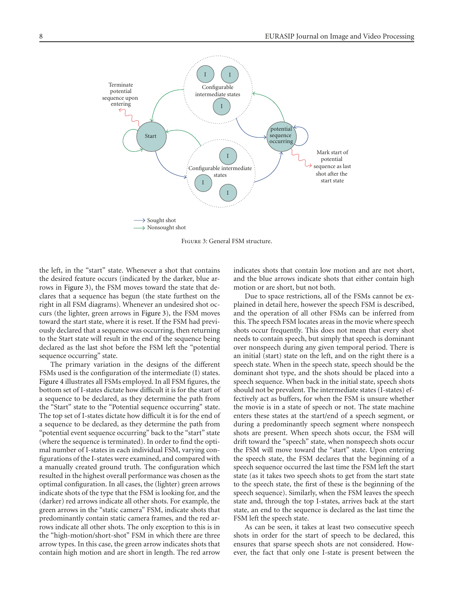

<span id="page-7-0"></span>Figure 3: General FSM structure.

the left, in the "start" state. Whenever a shot that contains the desired feature occurs (indicated by the darker, blue arrows in [Figure 3\)](#page-7-0), the FSM moves toward the state that declares that a sequence has begun (the state furthest on the right in all FSM diagrams). Whenever an undesired shot occurs (the lighter, green arrows in [Figure 3\)](#page-7-0), the FSM moves toward the start state, where it is reset. If the FSM had previously declared that a sequence was occurring, then returning to the Start state will result in the end of the sequence being declared as the last shot before the FSM left the "potential sequence occurring" state.

The primary variation in the designs of the different FSMs used is the configuration of the intermediate (I) states. [Figure 4](#page-8-1) illustrates all FSMs employed. In all FSM figures, the bottom set of I-states dictate how difficult it is for the start of a sequence to be declared, as they determine the path from the "Start" state to the "Potential sequence occurring" state. The top set of I-states dictate how difficult it is for the end of a sequence to be declared, as they determine the path from "potential event sequence occurring" back to the "start" state (where the sequence is terminated). In order to find the optimal number of I-states in each individual FSM, varying configurations of the I-states were examined, and compared with a manually created ground truth. The configuration which resulted in the highest overall performance was chosen as the optimal configuration. In all cases, the (lighter) green arrows indicate shots of the type that the FSM is looking for, and the (darker) red arrows indicate all other shots. For example, the green arrows in the "static camera" FSM, indicate shots that predominantly contain static camera frames, and the red arrows indicate all other shots. The only exception to this is in the "high-motion/short-shot" FSM in which there are three arrow types. In this case, the green arrow indicates shots that contain high motion and are short in length. The red arrow

indicates shots that contain low motion and are not short, and the blue arrows indicate shots that either contain high motion or are short, but not both.

Due to space restrictions, all of the FSMs cannot be explained in detail here, however the speech FSM is described, and the operation of all other FSMs can be inferred from this. The speech FSM locates areas in the movie where speech shots occur frequently. This does not mean that every shot needs to contain speech, but simply that speech is dominant over nonspeech during any given temporal period. There is an initial (start) state on the left, and on the right there is a speech state. When in the speech state, speech should be the dominant shot type, and the shots should be placed into a speech sequence. When back in the initial state, speech shots should not be prevalent. The intermediate states (I-states) effectively act as buffers, for when the FSM is unsure whether the movie is in a state of speech or not. The state machine enters these states at the start/end of a speech segment, or during a predominantly speech segment where nonspeech shots are present. When speech shots occur, the FSM will drift toward the "speech" state, when nonspeech shots occur the FSM will move toward the "start" state. Upon entering the speech state, the FSM declares that the beginning of a speech sequence occurred the last time the FSM left the start state (as it takes two speech shots to get from the start state to the speech state, the first of these is the beginning of the speech sequence). Similarly, when the FSM leaves the speech state and, through the top I-states, arrives back at the start state, an end to the sequence is declared as the last time the FSM left the speech state.

As can be seen, it takes at least two consecutive speech shots in order for the start of speech to be declared, this ensures that sparse speech shots are not considered. However, the fact that only one I-state is present between the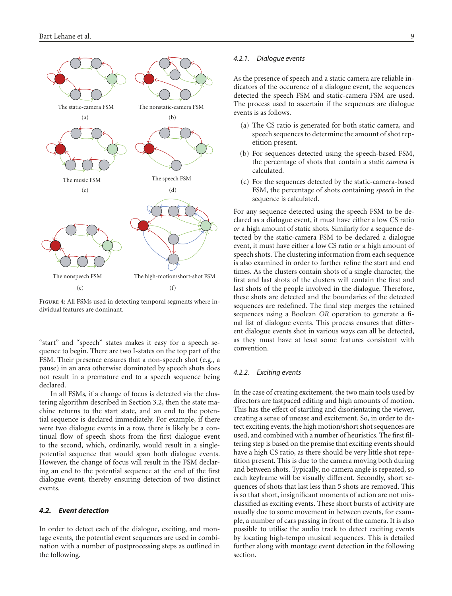

<span id="page-8-1"></span>Figure 4: All FSMs used in detecting temporal segments where individual features are dominant.

"start" and "speech" states makes it easy for a speech sequence to begin. There are two I-states on the top part of the FSM. Their presence ensures that a non-speech shot (e.g., a pause) in an area otherwise dominated by speech shots does not result in a premature end to a speech sequence being declared.

In all FSMs, if a change of focus is detected via the clustering algorithm described in [Section 3.2,](#page-4-1) then the state machine returns to the start state, and an end to the potential sequence is declared immediately. For example, if there were two dialogue events in a row, there is likely be a continual flow of speech shots from the first dialogue event to the second, which, ordinarily, would result in a singlepotential sequence that would span both dialogue events. However, the change of focus will result in the FSM declaring an end to the potential sequence at the end of the first dialogue event, thereby ensuring detection of two distinct events.

## <span id="page-8-0"></span>*4.2. Event detection*

In order to detect each of the dialogue, exciting, and montage events, the potential event sequences are used in combination with a number of postprocessing steps as outlined in the following.

#### *4.2.1. Dialogue events*

As the presence of speech and a static camera are reliable indicators of the occurence of a dialogue event, the sequences detected the speech FSM and static-camera FSM are used. The process used to ascertain if the sequences are dialogue events is as follows.

- (a) The CS ratio is generated for both static camera, and speech sequences to determine the amount of shot repetition present.
- (b) For sequences detected using the speech-based FSM, the percentage of shots that contain a *static camera* is calculated.
- (c) For the sequences detected by the static-camera-based FSM, the percentage of shots containing *speech* in the sequence is calculated.

For any sequence detected using the speech FSM to be declared as a dialogue event, it must have either a low CS ratio *or* a high amount of static shots. Similarly for a sequence detected by the static-camera FSM to be declared a dialogue event, it must have either a low CS ratio *or* a high amount of speech shots. The clustering information from each sequence is also examined in order to further refine the start and end times. As the clusters contain shots of a single character, the first and last shots of the clusters will contain the first and last shots of the people involved in the dialogue. Therefore, these shots are detected and the boundaries of the detected sequences are redefined. The final step merges the retained sequences using a Boolean *OR* operation to generate a final list of dialogue events. This process ensures that different dialogue events shot in various ways can all be detected, as they must have at least some features consistent with convention.

#### <span id="page-8-2"></span>*4.2.2. Exciting events*

In the case of creating excitement, the two main tools used by directors are fastpaced editing and high amounts of motion. This has the effect of startling and disorientating the viewer, creating a sense of unease and excitement. So, in order to detect exciting events, the high motion/short shot sequences are used, and combined with a number of heuristics. The first filtering step is based on the premise that exciting events should have a high CS ratio, as there should be very little shot repetition present. This is due to the camera moving both during and between shots. Typically, no camera angle is repeated, so each keyframe will be visually different. Secondly, short sequences of shots that last less than 5 shots are removed. This is so that short, insignificant moments of action are not misclassified as exciting events. These short bursts of activity are usually due to some movement in between events, for example, a number of cars passing in front of the camera. It is also possible to utilise the audio track to detect exciting events by locating high-tempo musical sequences. This is detailed further along with montage event detection in the following section.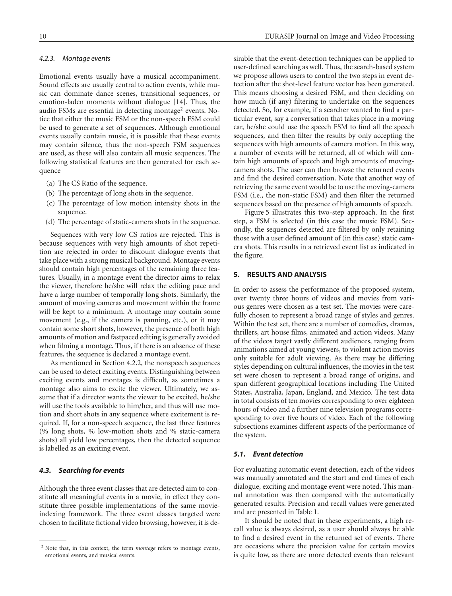Emotional events usually have a musical accompaniment. Sound effects are usually central to action events, while music can dominate dance scenes, transitional sequences, or emotion-laden moments without dialogue [\[14](#page-14-15)]. Thus, the audio FSMs are essential in detecting montage<sup>2</sup> events. Notice that either the music FSM or the non-speech FSM could be used to generate a set of sequences. Although emotional events usually contain music, it is possible that these events may contain silence, thus the non-speech FSM sequences are used, as these will also contain all music sequences. The following statistical features are then generated for each sequence

- (a) The CS Ratio of the sequence.
- (b) The percentage of long shots in the sequence.
- (c) The percentage of low motion intensity shots in the sequence.
- (d) The percentage of static-camera shots in the sequence.

Sequences with very low CS ratios are rejected. This is because sequences with very high amounts of shot repetition are rejected in order to discount dialogue events that take place with a strong musical background. Montage events should contain high percentages of the remaining three features. Usually, in a montage event the director aims to relax the viewer, therefore he/she will relax the editing pace and have a large number of temporally long shots. Similarly, the amount of moving cameras and movement within the frame will be kept to a minimum. A montage may contain some movement (e.g., if the camera is panning, etc.), or it may contain some short shots, however, the presence of both high amounts of motion and fastpaced editing is generally avoided when filming a montage. Thus, if there is an absence of these features, the sequence is declared a montage event.

As mentioned in [Section 4.2.2,](#page-8-2) the nonspeech sequences can be used to detect exciting events. Distinguishing between exciting events and montages is difficult, as sometimes a montage also aims to excite the viewer. Ultimately, we assume that if a director wants the viewer to be excited, he/she will use the tools available to him/her, and thus will use motion and short shots in any sequence where excitement is required. If, for a non-speech sequence, the last three features (% long shots, % low-motion shots and % static-camera shots) all yield low percentages, then the detected sequence is labelled as an exciting event.

# <span id="page-9-1"></span>*4.3. Searching for events*

Although the three event classes that are detected aim to constitute all meaningful events in a movie, in effect they constitute three possible implementations of the same movieindexing framework. The three event classes targeted were chosen to facilitate fictional video browsing, however, it is desirable that the event-detection techniques can be applied to user-defined searching as well. Thus, the search-based system we propose allows users to control the two steps in event detection after the shot-level feature vector has been generated. This means choosing a desired FSM, and then deciding on how much (if any) filtering to undertake on the sequences detected. So, for example, if a searcher wanted to find a particular event, say a conversation that takes place in a moving car, he/she could use the speech FSM to find all the speech sequences, and then filter the results by only accepting the sequences with high amounts of camera motion. In this way, a number of events will be returned, all of which will contain high amounts of speech and high amounts of movingcamera shots. The user can then browse the returned events and find the desired conversation. Note that another way of retrieving the same event would be to use the moving-camera FSM (i.e., the non-static FSM) and then filter the returned sequences based on the presence of high amounts of speech.

[Figure 5](#page-10-0) illustrates this two-step approach. In the first step, a FSM is selected (in this case the music FSM). Secondly, the sequences detected are filtered by only retaining those with a user defined amount of (in this case) static camera shots. This results in a retrieved event list as indicated in the figure.

## <span id="page-9-0"></span>**5. RESULTS AND ANALYSIS**

In order to assess the performance of the proposed system, over twenty three hours of videos and movies from various genres were chosen as a test set. The movies were carefully chosen to represent a broad range of styles and genres. Within the test set, there are a number of comedies, dramas, thrillers, art house films, animated and action videos. Many of the videos target vastly different audiences, ranging from animations aimed at young viewers, to violent action movies only suitable for adult viewing. As there may be differing styles depending on cultural influences, the movies in the test set were chosen to represent a broad range of origins, and span different geographical locations including The United States, Australia, Japan, England, and Mexico. The test data in total consists of ten movies corresponding to over eighteen hours of video and a further nine television programs corresponding to over five hours of video. Each of the following subsections examines different aspects of the performance of the system.

## *5.1. Event detection*

For evaluating automatic event detection, each of the videos was manually annotated and the start and end times of each dialogue, exciting and montage event were noted. This manual annotation was then compared with the automatically generated results. Precision and recall values were generated and are presented in [Table 1.](#page-10-1)

It should be noted that in these experiments, a high recall value is always desired, as a user should always be able to find a desired event in the returned set of events. There are occasions where the precision value for certain movies is quite low, as there are more detected events than relevant

<sup>2</sup> Note that, in this context, the term *montage* refers to montage events, emotional events, and musical events.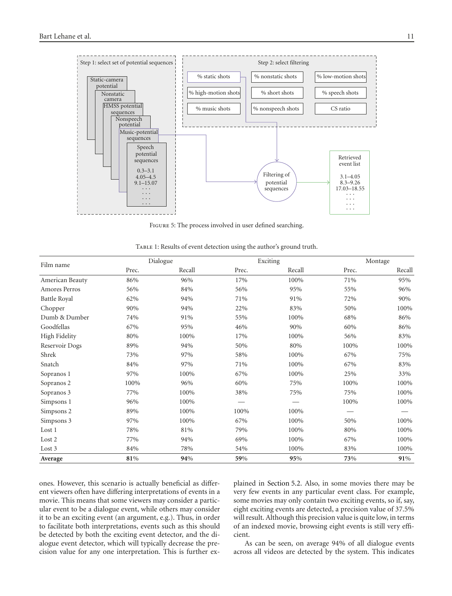

<span id="page-10-0"></span>Figure 5: The process involved in user defined searching.

| Film name       | Dialogue |        | Exciting |        | Montage |        |
|-----------------|----------|--------|----------|--------|---------|--------|
|                 | Prec.    | Recall | Prec.    | Recall | Prec.   | Recall |
| American Beauty | 86%      | 96%    | 17%      | 100%   | 71%     | 95%    |
| Amores Perros   | 56%      | 84%    | 56%      | 95%    | 55%     | 96%    |
| Battle Royal    | 62%      | 94%    | 71%      | 91%    | 72%     | 90%    |
| Chopper         | 90%      | 94%    | 22%      | 83%    | 50%     | 100%   |
| Dumb & Dumber   | 74%      | 91%    | 55%      | 100%   | 68%     | 86%    |
| Goodfellas      | 67%      | 95%    | 46%      | 90%    | 60%     | 86%    |
| High Fidelity   | 80%      | 100%   | 17%      | 100%   | 56%     | 83%    |
| Reservoir Dogs  | 89%      | 94%    | 50%      | 80%    | 100%    | 100%   |
| Shrek           | 73%      | 97%    | 58%      | 100%   | 67%     | 75%    |
| Snatch          | 84%      | 97%    | 71%      | 100%   | 67%     | 83%    |
| Sopranos 1      | 97%      | 100%   | 67%      | 100%   | 25%     | 33%    |
| Sopranos 2      | 100%     | 96%    | 60%      | 75%    | 100%    | 100%   |
| Sopranos 3      | 77%      | 100%   | 38%      | 75%    | 75%     | 100%   |
| Simpsons 1      | 96%      | 100%   |          |        | 100%    | 100%   |
| Simpsons 2      | 89%      | 100%   | 100%     | 100%   |         |        |
| Simpsons 3      | 97%      | 100%   | 67%      | 100%   | 50%     | 100%   |
| Lost 1          | 78%      | 81%    | 79%      | 100%   | 80%     | 100%   |
| Lost 2          | 77%      | 94%    | 69%      | 100%   | 67%     | 100%   |
| Lost 3          | 84%      | 78%    | 54%      | 100%   | 83%     | 100%   |
| Average         | 81%      | 94%    | 59%      | 95%    | 73%     | 91%    |

<span id="page-10-1"></span>Table 1: Results of event detection using the author's ground truth.

ones. However, this scenario is actually beneficial as different viewers often have differing interpretations of events in a movie. This means that some viewers may consider a particular event to be a dialogue event, while others may consider it to be an exciting event (an argument, e.g.). Thus, in order to facilitate both interpretations, events such as this should be detected by both the exciting event detector, and the dialogue event detector, which will typically decrease the precision value for any one interpretation. This is further explained in [Section 5.2.](#page-11-0) Also, in some movies there may be very few events in any particular event class. For example, some movies may only contain two exciting events, so if, say, eight exciting events are detected, a precision value of 37.5% will result. Although this precision value is quite low, in terms of an indexed movie, browsing eight events is still very efficient.

As can be seen, on average 94% of all dialogue events across all videos are detected by the system. This indicates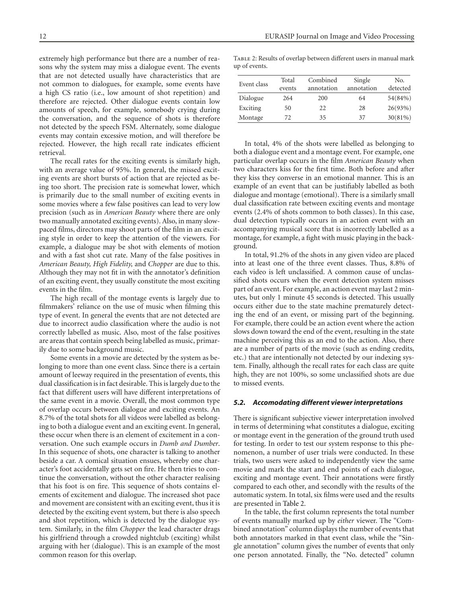extremely high performance but there are a number of reasons why the system may miss a dialogue event. The events that are not detected usually have characteristics that are not common to dialogues, for example, some events have a high CS ratio (i.e., low amount of shot repetition) and therefore are rejected. Other dialogue events contain low amounts of speech, for example, somebody crying during the conversation, and the sequence of shots is therefore not detected by the speech FSM. Alternately, some dialogue events may contain excessive motion, and will therefore be rejected. However, the high recall rate indicates efficient retrieval.

The recall rates for the exciting events is similarly high, with an average value of 95%. In general, the missed exciting events are short bursts of action that are rejected as being too short. The precision rate is somewhat lower, which is primarily due to the small number of exciting events in some movies where a few false positives can lead to very low precision (such as in *American Beauty* where there are only two manually annotated exciting events). Also, in many slowpaced films, directors may shoot parts of the film in an exciting style in order to keep the attention of the viewers. For example, a dialogue may be shot with elements of motion and with a fast shot cut rate. Many of the false positives in *American Beauty, High Fidelity,* and *Chopper* are due to this. Although they may not fit in with the annotator's definition of an exciting event, they usually constitute the most exciting events in the film.

The high recall of the montage events is largely due to filmmakers' reliance on the use of music when filming this type of event. In general the events that are not detected are due to incorrect audio classification where the audio is not correctly labelled as music. Also, most of the false positives are areas that contain speech being labelled as music, primarily due to some background music.

Some events in a movie are detected by the system as belonging to more than one event class. Since there is a certain amount of leeway required in the presentation of events, this dual classification is in fact desirable. This is largely due to the fact that different users will have different interpretations of the same event in a movie. Overall, the most common type of overlap occurs between dialogue and exciting events. An 8.7% of the total shots for all videos were labelled as belonging to both a dialogue event and an exciting event. In general, these occur when there is an element of excitement in a conversation. One such example occurs in *Dumb and Dumber*. In this sequence of shots, one character is talking to another beside a car. A comical situation ensues, whereby one character's foot accidentally gets set on fire. He then tries to continue the conversation, without the other character realising that his foot is on fire. This sequence of shots contains elements of excitement and dialogue. The increased shot pace and movement are consistent with an exciting event, thus it is detected by the exciting event system, but there is also speech and shot repetition, which is detected by the dialogue system. Similarly, in the film *Chopper* the lead character drags his girlfriend through a crowded nightclub (exciting) whilst arguing with her (dialogue). This is an example of the most common reason for this overlap.

<span id="page-11-1"></span>Table 2: Results of overlap between different users in manual mark up of events.

| Event class | Total<br>events | Combined<br>annotation | Single<br>annotation | No.<br>detected |
|-------------|-----------------|------------------------|----------------------|-----------------|
| Dialogue    | 264             | 200                    | 64                   | 54(84%)         |
| Exciting    | 50              | 22                     | 28                   | 26(93%)         |
| Montage     | 72.             | 35                     | 37                   | $30(81\%)$      |

In total, 4% of the shots were labelled as belonging to both a dialogue event and a montage event. For example, one particular overlap occurs in the film *American Beauty* when two characters kiss for the first time. Both before and after they kiss they converse in an emotional manner. This is an example of an event that can be justifiably labelled as both dialogue and montage (emotional). There is a similarly small dual classification rate between exciting events and montage events (2.4% of shots common to both classes). In this case, dual detection typically occurs in an action event with an accompanying musical score that is incorrectly labelled as a montage, for example, a fight with music playing in the background.

In total, 91.2% of the shots in any given video are placed into at least one of the three event classes. Thus, 8.8% of each video is left unclassified. A common cause of unclassified shots occurs when the event detection system misses part of an event. For example, an action event may last 2 minutes, but only 1 minute 45 seconds is detected. This usually occurs either due to the state machine prematurely detecting the end of an event, or missing part of the beginning. For example, there could be an action event where the action slows down toward the end of the event, resulting in the state machine perceiving this as an end to the action. Also, there are a number of parts of the movie (such as ending credits, etc.) that are intentionally not detected by our indexing system. Finally, although the recall rates for each class are quite high, they are not 100%, so some unclassified shots are due to missed events.

#### <span id="page-11-0"></span>*5.2. Accomodating different viewer interpretations*

There is significant subjective viewer interpretation involved in terms of determining what constitutes a dialogue, exciting or montage event in the generation of the ground truth used for testing. In order to test our system response to this phenomenon, a number of user trials were conducted. In these trials, two users were asked to independently view the same movie and mark the start and end points of each dialogue, exciting and montage event. Their annotations were firstly compared to each other, and secondly with the results of the automatic system. In total, six films were used and the results are presented in [Table 2.](#page-11-1)

In the table, the first column represents the total number of events manually marked up by *either* viewer. The "Combined annotation" column displays the number of events that both annotators marked in that event class, while the "Single annotation" column gives the number of events that only one person annotated. Finally, the "No. detected" column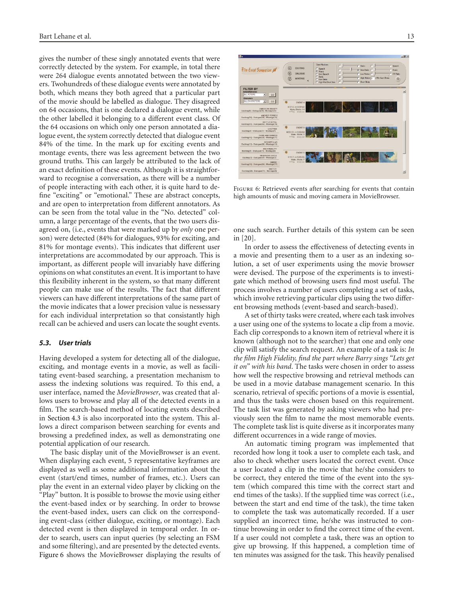gives the number of these singly annotated events that were correctly detected by the system. For example, in total there were 264 dialogue events annotated between the two viewers. Twohundreds of these dialogue events were annotated by both, which means they both agreed that a particular part of the movie should be labelled as dialogue. They disagreed on 64 occasions, that is one declared a dialogue event, while the other labelled it belonging to a different event class. Of the 64 occasions on which only one person annotated a dialogue event, the system correctly detected that dialogue event 84% of the time. In the mark up for exciting events and montage events, there was less agreement between the two ground truths. This can largely be attributed to the lack of an exact definition of these events. Although it is straightforward to recognise a conversation, as there will be a number of people interacting with each other, it is quite hard to define "exciting" or "emotional." These are abstract concepts, and are open to interpretation from different annotators. As can be seen from the total value in the "No. detected" column, a large percentage of the events, that the two users disagreed on, (i.e., events that were marked up by *only* one person) were detected (84% for dialogues, 93% for exciting, and 81% for montage events). This indicates that different user interpretations are accommodated by our approach. This is important, as different people will invariably have differing opinions on what constitutes an event. It is important to have this flexibility inherent in the system, so that many different people can make use of the results. The fact that different viewers can have different interpretations of the same part of the movie indicates that a lower precision value is nessessary for each individual interpretation so that consistantly high recall can be achieved and users can locate the sought events.

#### <span id="page-12-1"></span>*5.3. User trials*

Having developed a system for detecting all of the dialogue, exciting, and montage events in a movie, as well as facilitating event-based searching, a presentation mechanism to assess the indexing solutions was required. To this end, a user interface, named the *MovieBrowser*, was created that allows users to browse and play all of the detected events in a film. The search-based method of locating events described in [Section 4.3](#page-9-1) is also incorporated into the system. This allows a direct comparison between searching for events and browsing a predefined index, as well as demonstrating one potential application of our research.

The basic display unit of the MovieBrowser is an event. When displaying each event, 5 representative keyframes are displayed as well as some additional information about the event (start/end times, number of frames, etc.). Users can play the event in an external video player by clicking on the "Play" button. It is possible to browse the movie using either the event-based index or by searching. In order to browse the event-based index, users can click on the corresponding event-class (either dialogue, exciting, or montage). Each detected event is then displayed in temporal order. In order to search, users can input queries (by selecting an FSM and some filtering), and are presented by the detected events. [Figure 6](#page-12-0) shows the MovieBrowser displaying the results of



<span id="page-12-0"></span>Figure 6: Retrieved events after searching for events that contain high amounts of music and moving camera in MovieBrowser.

one such search. Further details of this system can be seen in [\[20\]](#page-14-20).

In order to assess the effectiveness of detecting events in a movie and presenting them to a user as an indexing solution, a set of user experiments using the movie browser were devised. The purpose of the experiments is to investigate which method of browsing users find most useful. The process involves a number of users completing a set of tasks, which involve retrieving particular clips using the two different browsing methods (event-based and search-based).

A set of thirty tasks were created, where each task involves a user using one of the systems to locate a clip from a movie. Each clip corresponds to a known item of retrieval where it is known (although not to the searcher) that one and only one clip will satisfy the search request. An example of a task is: *In the film High Fidelity, find the part where Barry sings "Lets get it on" with his band*. The tasks were chosen in order to assess how well the respective browsing and retrieval methods can be used in a movie database management scenario. In this scenario, retrieval of specific portions of a movie is essential, and thus the tasks were chosen based on this requirement. The task list was generated by asking viewers who had previously seen the film to name the most memorable events. The complete task list is quite diverse as it incorporates many different occurrences in a wide range of movies.

An automatic timing program was implemented that recorded how long it took a user to complete each task, and also to check whether users located the correct event. Once a user located a clip in the movie that he/she considers to be correct, they entered the time of the event into the system (which compared this time with the correct start and end times of the tasks). If the supplied time was correct (i.e., between the start and end time of the task), the time taken to complete the task was automatically recorded. If a user supplied an incorrect time, he/she was instructed to continue browsing in order to find the correct time of the event. If a user could not complete a task, there was an option to give up browsing. If this happened, a completion time of ten minutes was assigned for the task. This heavily penalised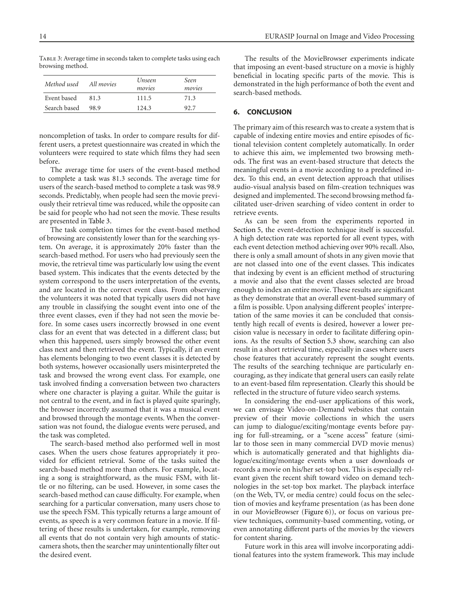<span id="page-13-1"></span>

| Method used  | All movies | Unseen<br>movies | Seen<br>movies |
|--------------|------------|------------------|----------------|
| Event based  | 813        | 111.5            | 71.3           |
| Search based | 98.9       | 124.3            | 92.7           |

TABLE 3: Average time in seconds taken to complete tasks using each browsing method.

noncompletion of tasks. In order to compare results for different users, a pretest questionnaire was created in which the volunteers were required to state which films they had seen before.

The average time for users of the event-based method to complete a task was 81.3 seconds. The average time for users of the search-based method to complete a task was 98.9 seconds. Predictably, when people had seen the movie previously their retrieval time was reduced, while the opposite can be said for people who had not seen the movie. These results are presented in [Table 3.](#page-13-1)

The task completion times for the event-based method of browsing are consistently lower than for the searching system. On average, it is approximately 20% faster than the search-based method. For users who had previously seen the movie, the retrieval time was particularly low using the event based system. This indicates that the events detected by the system correspond to the users interpretation of the events, and are located in the correct event class. From observing the volunteers it was noted that typically users did not have any trouble in classifying the sought event into one of the three event classes, even if they had not seen the movie before. In some cases users incorrectly browsed in one event class for an event that was detected in a different class; but when this happened, users simply browsed the other event class next and then retrieved the event. Typically, if an event has elements belonging to two event classes it is detected by both systems, however occasionally users misinterpreted the task and browsed the wrong event class. For example, one task involved finding a conversation between two characters where one character is playing a guitar. While the guitar is not central to the event, and in fact is played quite sparingly, the browser incorrectly assumed that it was a musical event and browsed through the montage events. When the conversation was not found, the dialogue events were perused, and the task was completed.

The search-based method also performed well in most cases. When the users chose features appropriately it provided for efficient retrieval. Some of the tasks suited the search-based method more than others. For example, locating a song is straightforward, as the music FSM, with little or no filtering, can be used. However, in some cases the search-based method can cause difficulty. For example, when searching for a particular conversation, many users chose to use the speech FSM. This typically returns a large amount of events, as speech is a very common feature in a movie. If filtering of these results is undertaken, for example, removing all events that do not contain very high amounts of staticcamera shots, then the searcher may unintentionally filter out the desired event.

The results of the MovieBrowser experiments indicate that imposing an event-based structure on a movie is highly beneficial in locating specific parts of the movie. This is demonstrated in the high performance of both the event and search-based methods.

# <span id="page-13-0"></span>**6. CONCLUSION**

The primary aim of this research was to create a system that is capable of indexing entire movies and entire episodes of fictional television content completely automatically. In order to achieve this aim, we implemented two browsing methods. The first was an event-based structure that detects the meaningful events in a movie according to a predefined index. To this end, an event detection approach that utilises audio-visual analysis based on film-creation techniques was designed and implemented. The second browsing method facilitated user-driven searching of video content in order to retrieve events.

As can be seen from the experiments reported in [Section 5,](#page-9-0) the event-detection technique itself is successful. A high detection rate was reported for all event types, with each event detection method achieving over 90% recall. Also, there is only a small amount of shots in any given movie that are not classed into one of the event classes. This indicates that indexing by event is an efficient method of structuring a movie and also that the event classes selected are broad enough to index an entire movie. These results are significant as they demonstrate that an overall event-based summary of a film is possible. Upon analysing different peoples' interpretation of the same movies it can be concluded that consistently high recall of events is desired, however a lower precision value is necessary in order to facilitate differing opinions. As the results of [Section 5.3](#page-12-1) show, searching can also result in a short retrieval time, especially in cases where users chose features that accurately represent the sought events. The results of the searching technique are particularly encouraging, as they indicate that general users can easily relate to an event-based film representation. Clearly this should be reflected in the structure of future video search systems.

In considering the end-user applications of this work, we can envisage Video-on-Demand websites that contain preview of their movie collections in which the users can jump to dialogue/exciting/montage events before paying for full-streaming, or a "scene access" feature (similar to those seen in many commercial DVD movie menus) which is automatically generated and that highlights dialogue/exciting/montage events when a user downloads or records a movie on his/her set-top box. This is especially relevant given the recent shift toward video on demand technologies in the set-top box market. The playback interface (on the Web, TV, or media centre) could focus on the selection of movies and keyframe presentation (as has been done in our MovieBrowser [\(Figure 6\)](#page-12-0)), or focus on various preview techniques, community-based commenting, voting, or even annotating different parts of the movies by the viewers for content sharing.

Future work in this area will involve incorporating additional features into the system framework. This may include